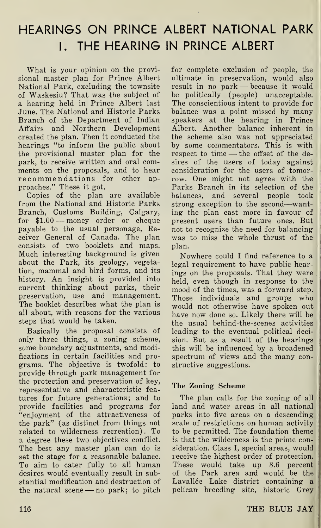# HEARINGS ON PRINCE ALBERT NATIONAL PARK I. THE HEARING IN PRINCE ALBERT

What is your opinion on the provisional master plan for Prince Albert National Park, excluding the townsite of Waskesiu? That was the subject of a hearing held in Prince Albert last June. The National and Historic Parks Branch of the Department of Indian Affairs and Northern Development created the plan. Then it conducted the hearings "to inform the public about the provisional master plan for the park, to receive written and oral comments on the proposals, and to hear recommendations for other approaches." These it got.

Copies of the plan are available from the National and Historic Parks Branch, Customs Building, Calgary, for \$1.00 — money order or cheque payable to the usual personage, Receiver General of Canada. The plan consists of two booklets and maps. Much interesting background is given about the Park, its geology, vegetation, mammal and bird forms, and its history. An insight is provided into current thinking about parks, their preservation, use and management. The booklet describes what the plan is all about, with reasons for the various steps that would be taken.

Basically the proposal consists of only three things, a zoning scheme, some boundary adjustments, and modifications in certain facilities and programs. The objective is twofold: to provide through park management for the protection and preservation of key, representative and characteristic fea tures for future generations; and to provide facilities and programs for "enjoyment of the attractiveness of the park" (as distinct from things not related to wilderness recreation). To a degree these two objectives conflict. The best any master plan can do is set the stage for a reasonable balance. To aim to cater fully to all human desires would eventually result in substantial modification and destruction of the natural scene — no park; to pitch

for complete exclusion of people, the ultimate in preservation, would also result in no park — because it would be politically (people) unacceptable. The conscientious intent to provide for balance was a point missed by many speakers at the hearing in Prince Albert. Another balance inherent in the scheme also was not appreciated by some commentators. This is with respect to time  $-$  the offset of the desires of the users of today against consideration for the users of tomorrow. One might not agree with the Parks Branch in its selection of the balances, and several people took strong exception to the second—wanting the plan cast more in favour of present users than future ones. But not to recognize the need for balancing was to miss the whole thrust of the plan.

Nowhere could I find reference to a legal requirement to have public hearings on the proposals. That they were held, even though in response to the mood of the times, was a forward step. Those individuals and groups who would not otherwise have spoken out have now done so. Likely there will be the usual behind-the-scenes activities leading to the eventual political decision. But as a result of the hearings this will be influenced by a broadened spectrum of views and the many constructive suggestions.

### The Zoning Scheme

The plan calls for the zoning of all land and water areas in all national parks into five areas on a descending scale of restrictions on human activity to be permitted. The foundation theme is that the wilderness is the prime consideration. Class I, special areas, would receive the highest order of protection. These would take up 3.6 percent of the Park area and would be the Lavallée Lake district containing a pelican breeding site, historic Grey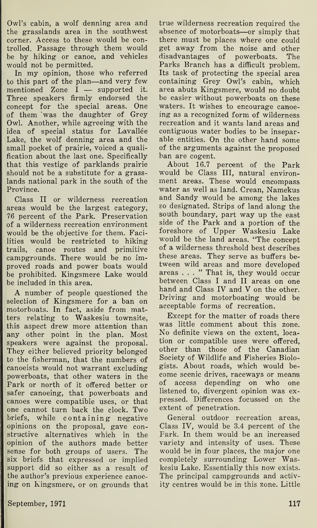Owl's cabin, a wolf denning area and the grasslands area in the southwest corner. Access to these would be controlled. Passage through them would be by hiking or canoe, and vehicles would not be permitted.

In my opinion, those who referred to this part of the plan—and very few mentioned Zone I — supported it. Three speakers firmly endorsed the concept for the special areas. One of them 'was the daughter of Grey Owl. Another, while agreeing with the idea of special status for Lavallée Lake, the wolf denning area and the small pocket of prairie, voiced a qualification about the last one. Specifically that this vestige of parklands prairie should not be a substitute for a grasslands national park in the south of the Province.

Class II or wilderness recreation areas would be the largest category, 76 percent of the Park. Preservation of a wilderness recreation environment would be the objective for them. Facilities would be restricted to hiking trails, canoe routes and primitive campgrounds. There would be no im proved roads and power boats would be prohibited. Kingsmere Lake would be included in this area.

A number of people questioned the selection of Kingsmere for a ban on motorboats. In fact, aside from matters relating to Waskesiu townsite, this aspect drew more attention than any other point in the plan. Most speakers were against the proposal. They either believed priority belonged to the fisherman, that the numbers of canoeists would not warrant excluding powerboats, that other waters in the Park or north of it offered better or safer canoeing, that powerboats and canoes were compatible uses, or that one cannot turn back the clock. Two briefs, while containing negative opinions on the proposal, gave constructive alternatives which in the opinion of the authors made better sense for both groups of users. The six briefs that expressed or implied support did so either as a result of the author's previous experience canoeing on Kingsmere, or on grounds that

true wilderness recreation required the absence of motorboats—or simply that there must be places where one could get away from the noise and other disadvantages of powerboats. The Parks Branch has a difficult problem. Its task of protecting the special area containing Grey Owl's cabin, which area abuts Kingsmere, would no doubt be easier without powerboats on these waters. It wishes to encourage canoeing as a recognized form of wilderness recreation and it wants land areas and contiguous water bodies to be inseparable entities. On the other hand some of the arguments against the proposed ban are cogent.

About 16.7 percent of the Park would be Class III, natural environment areas. These would encompass water as well as land. Crean, Namekus and Sandy would be among the lakes so designated. Strips of land along the south boundary, part way up the east side of the Park and a portion of the foreshore of Upper Waskesiu Lake would be the land areas. "The concept of a wilderness threshold best describes these areas. They serve as buffers between wild areas and more developed areas ..." That is, they would occur between Class I and II areas on one hand and Class IV and V on the other. Driving and motorboating would be acceptable forms of recreation.

Except for the matter of roads there was little comment about this zone. No definite views on the extent, location or compatible uses were offered, other than those of the Canadian Society of Wildlife and Fisheries Biologists. About roads, which would become scenic drives, raceways or means of access depending on who one listened to, divergent opinion was expressed. Differences focussed on the extent of penetration.

General outdoor recreation areas, Class IV, would be 3.4 percent of the Park. In them would be an increased variety and intensity of uses. These would be in four places, the major one completely surrounding Lower Waskesiu Lake. Essentially this now exists. The principal campgrounds and activity centres would be in this zone. Little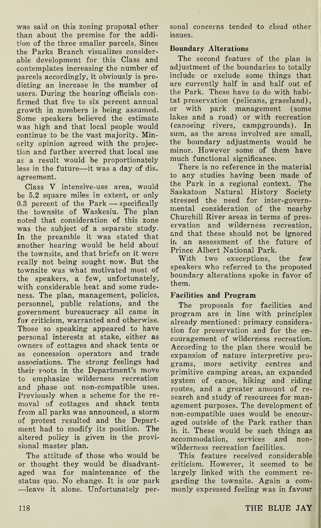was said on this zoning proposal other than about the premise for the addition of the three smaller parcels. Since the Parks Branch visualizes considerable development for this Class and contemplates increasing the number of parcels accordingly, it obviously is predicting an increase in the number of users. During the hearing officials confirmed that five to six percent annual growth in numbers is being assumed. Some speakers believed the estimate was high and that local people would continue to be the vast majority. Minority opinion agreed with the projection and further averred that local use as a result would be proportionately less in the future—it was a day of disagreement.

Class V intensive-use area, would be 5.2 square miles in extent, or only 0.3 percent of the Park — specifically the townsite of Waskesiu. The plan noted that consideration of this zone was the subject of a separate study. In the preamble it was stated that another hearing would be held about the townsite, and that briefs on it were really not being sought now. But the townsite was what motivated most of the speakers, a few, unfortunately, with considerable heat and some rudeness. The plan, management, policies, personnel, public relations, and the government bureaucracy all came in for criticism, warranted and otherwise. Those so speaking appeared to have personal interests at stake, either as owners of cottages and shack tents or as concession operators and trade associations. The strong feelings had their roots in the Department's move to emphasize wilderness recreation and phase out non-compatible uses. Previously when a scheme for the removal of cottages and shack tents from all parks was announced, a storm of protest resulted and the Department had to modify its position. The altered policy is given in the provisional master plan.

The attitude of those who would be or thought they would be disadvantaged was for maintenance of the status quo. No change. It is our park —leave it alone. Unfortunately personal concerns tended to cloud other issues.

#### Boundary Alterations

The second feature of the plan is adjustment of the boundaries to totally include or exclude some things that are currently half in and half out of the Park. These have to do with habitat preservation (pelicans, grassland), or with park management (some lakes and a road) or with recreation (canoeing rivers, campgrounds). In sum, as the areas involved are small, the boundary adjustments would be minor. However some of them have much functional significance.

There is no reference in the material to any studies having been made of the Park in a regional context. The Saskatoon Natural History Society stressed the need for inter-governmental consideration of the nearby Churchill River areas in terms of preservation and wilderness recreation, and that these should not be ignored in an assessment of the future of Prince Albert National Park.

With two execeptions, the few speakers who referred to the proposed boundary alterations spoke in favor of them.

#### Facilities and Program

The proposals for facilities and program are in line with principles already mentioned: primary consideration for preservation and for the en couragement of wilderness recreation. According to the plan there would be expansion of nature interpretive programs, more activity centres and primitive camping areas, an expanded system of canoe, hiking and riding routes, and a greater amount of research and study of resources for management purposes. The development of non-compatible uses would be encouraged outside of the Park rather than in it. These would be such things as accommodation, services and non wilderness recreation facilities.

This feature received considerable criticism. However, it seemed to be largely linked with the comment regarding the townsite. Again a com monly expressed feeling was in favour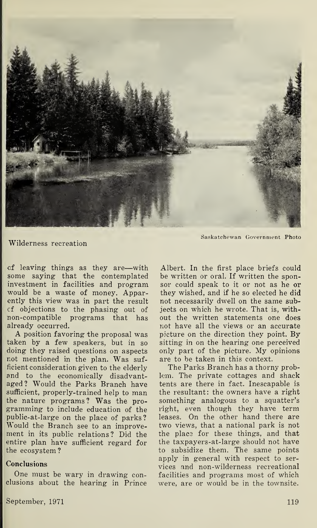

Saskatchewan Government Photo

Wilderness recreation

of leaving things as they are—with some saying that the contemplated investment in facilities and program would be a waste of money. Apparently this view was in part the result cf objections to the phasing out of non-compatible programs that has already occurred.

A position favoring the proposal was taken by a few speakers, but in so doing they raised questions on aspects not mentioned in the plan. Was sufficient consideration given to the elderly and to the economically disadvantaged? Would the Parks Branch have sufficient, properly-trained help to man the nature programs? Was the programming to include education of the public-at-large on the place of parks ? Would the Branch see to an improvement in its public relations ? Did the entire plan have sufficient regard for the ecosystem ?

#### Conclusions

One must be wary in drawing conclusions about the hearing in Prince

 $\;$  September, 1971  $\;$  119  $\;$ 

Albert. In the first place briefs could be written or oral. If written the sponsor could speak to it or not as he or they wished, and if he so elected he did not necessarily dwell on the same subjects on which he wrote. That is, without the written statements one does not have all the views or an accurate picture on the direction they point. By sitting in on the hearing one perceived only part of the picture. My opinions are to be taken in this context.

The Parks Branch has a thorny problem. The private cottages and shack tents are there in fact. Inescapable is the resultant: the owners have a right something analogous to a squatter's right, even though they have term leases. On the other hand there are two views, that a national park is not the place for these things, and that the taxpayers-at-large should not have to subsidize them. The same points apply in general with respect to services and non-wilderness recreational facilities and programs most of which were, are or would be in the townsite.